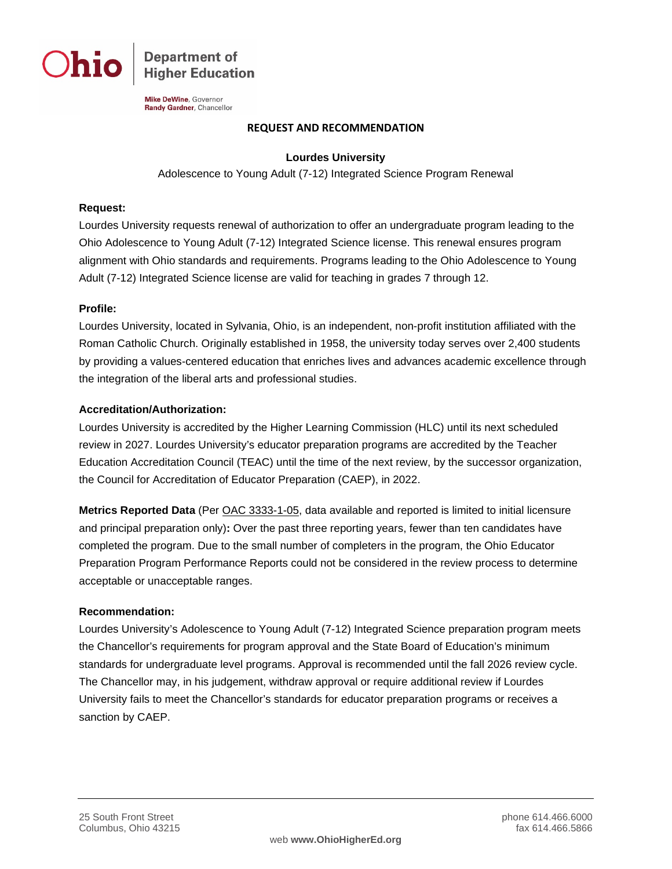

**Department of Higher Education** 

Mike DeWine, Governor Randy Gardner, Chancellor

#### **REQUEST AND RECOMMENDATION**

## **Lourdes University**

Adolescence to Young Adult (7-12) Integrated Science Program Renewal

## **Request:**

Lourdes University requests renewal of authorization to offer an undergraduate program leading to the Ohio Adolescence to Young Adult (7-12) Integrated Science license. This renewal ensures program alignment with Ohio standards and requirements. Programs leading to the Ohio Adolescence to Young Adult (7-12) Integrated Science license are valid for teaching in grades 7 through 12.

#### **Profile:**

Lourdes University, located in Sylvania, Ohio, is an independent, non-profit institution affiliated with the Roman Catholic Church. Originally established in 1958, the university today serves over 2,400 students by providing a values-centered education that enriches lives and advances academic excellence through the integration of the liberal arts and professional studies.

#### **Accreditation/Authorization:**

Lourdes University is accredited by the Higher Learning Commission (HLC) until its next scheduled review in 2027. Lourdes University's educator preparation programs are accredited by the Teacher Education Accreditation Council (TEAC) until the time of the next review, by the successor organization, the Council for Accreditation of Educator Preparation (CAEP), in 2022.

**Metrics Reported Data** (Per [OAC 3333-1-05,](http://codes.ohio.gov/oac/3333-1-05) data available and reported is limited to initial licensure and principal preparation only)**:** Over the past three reporting years, fewer than ten candidates have completed the program. Due to the small number of completers in the program, the Ohio Educator Preparation Program Performance Reports could not be considered in the review process to determine acceptable or unacceptable ranges.

# **Recommendation:**

Lourdes University's Adolescence to Young Adult (7-12) Integrated Science preparation program meets the Chancellor's requirements for program approval and the State Board of Education's minimum standards for undergraduate level programs. Approval is recommended until the fall 2026 review cycle. The Chancellor may, in his judgement, withdraw approval or require additional review if Lourdes University fails to meet the Chancellor's standards for educator preparation programs or receives a sanction by CAEP.